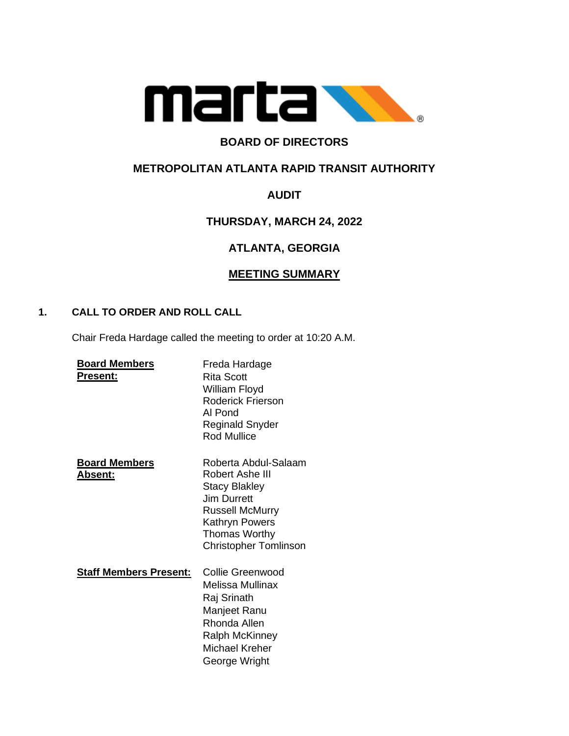

## **BOARD OF DIRECTORS**

## **METROPOLITAN ATLANTA RAPID TRANSIT AUTHORITY**

## **AUDIT**

## **THURSDAY, MARCH 24, 2022**

# **ATLANTA, GEORGIA**

## **MEETING SUMMARY**

### **1. CALL TO ORDER AND ROLL CALL**

Chair Freda Hardage called the meeting to order at 10:20 A.M.

| <b>Board Members</b><br><b>Present:</b> | Freda Hardage<br>Rita Scott<br>William Floyd<br><b>Roderick Frierson</b><br>Al Pond<br>Reginald Snyder<br><b>Rod Mullice</b>                                                       |
|-----------------------------------------|------------------------------------------------------------------------------------------------------------------------------------------------------------------------------------|
| <b>Board Members</b><br><u> Absent:</u> | Roberta Abdul-Salaam<br>Robert Ashe III<br><b>Stacy Blakley</b><br>Jim Durrett<br><b>Russell McMurry</b><br>Kathryn Powers<br><b>Thomas Worthy</b><br><b>Christopher Tomlinson</b> |
| <b>Staff Members Present:</b>           | Collie Greenwood<br>Melissa Mullinax<br>Raj Srinath<br>Manjeet Ranu<br>Rhonda Allen<br>Ralph McKinney<br>Michael Kreher<br>George Wright                                           |